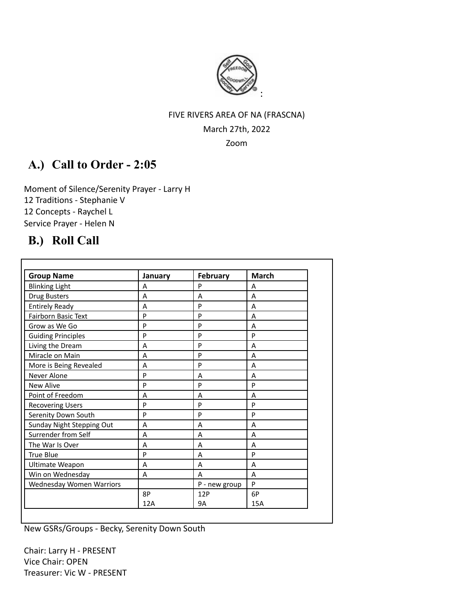

# FIVE RIVERS AREA OF NA (FRASCNA) March 27th, 2022

Zoom

# **A.) Call to Order - 2:05**

Moment of Silence/Serenity Prayer - Larry H 12 Traditions - Stephanie V 12 Concepts - Raychel L Service Prayer - Helen N

# **B.) Roll Call**

| <b>Group Name</b>         | January | <b>February</b> | <b>March</b> |
|---------------------------|---------|-----------------|--------------|
| <b>Blinking Light</b>     | A       | P               | A            |
| <b>Drug Busters</b>       | A       | A               | A            |
| <b>Entirely Ready</b>     | A       | P               | A            |
| Fairborn Basic Text       | P       | P               | A            |
| Grow as We Go             | P       | P               | A            |
| <b>Guiding Principles</b> | P       | P               | P            |
| Living the Dream          | A       | P               | A            |
| Miracle on Main           | A       | P               | A            |
| More is Being Revealed    | A       | P               | A            |
| Never Alone               | P       | A               | A            |
| <b>New Alive</b>          | P       | P               | P            |
| Point of Freedom          | A       | A               | A            |
| <b>Recovering Users</b>   | P       | P               | P            |
| Serenity Down South       | P       | P               | P            |
| Sunday Night Stepping Out | A       | A               | A            |
| Surrender from Self       | A       | A               | A            |
| The War Is Over           | Α       | A               | A            |
| <b>True Blue</b>          | P       | A               | P            |
| Ultimate Weapon           | A       | A               | A            |
| Win on Wednesday          | A       | A               | A            |
| Wednesday Women Warriors  |         | P - new group   | P            |
|                           | 8P      | 12P             | 6P           |
|                           | 12A     | <b>9A</b>       | <b>15A</b>   |

New GSRs/Groups - Becky, Serenity Down South

Chair: Larry H - PRESENT Vice Chair: OPEN Treasurer: Vic W - PRESENT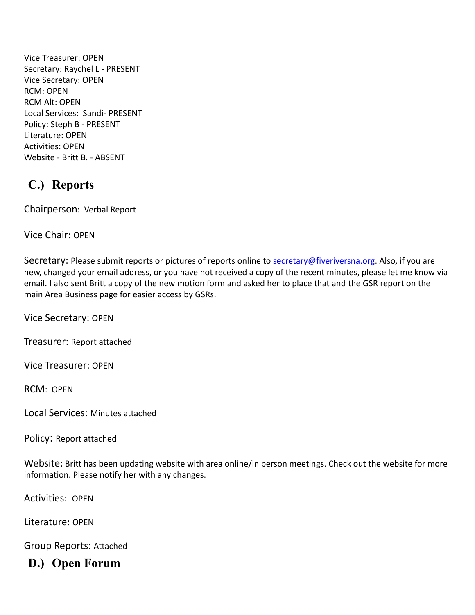Vice Treasurer: OPEN Secretary: Raychel L - PRESENT Vice Secretary: OPEN RCM: OPEN RCM Alt: OPEN Local Services: Sandi- PRESENT Policy: Steph B - PRESENT Literature: OPEN Activities: OPEN Website - Britt B. - ABSENT

# **C.) Reports**

Chairperson: Verbal Report

Vice Chair: OPEN

Secretary: Please submit reports or pictures of reports online to [secretary@fiveriversna.org](mailto:secretary@fiveriversna.org). Also, if you are new, changed your email address, or you have not received a copy of the recent minutes, please let me know via email. I also sent Britt a copy of the new motion form and asked her to place that and the GSR report on the main Area Business page for easier access by GSRs.

Vice Secretary: OPEN

Treasurer: Report attached

Vice Treasurer: OPEN

RCM: OPEN

Local Services: Minutes attached

Policy: Report attached

Website: Britt has been updating website with area online/in person meetings. Check out the website for more information. Please notify her with any changes.

Activities: OPEN

Literature: OPEN

Group Reports: Attached

**D.) Open Forum**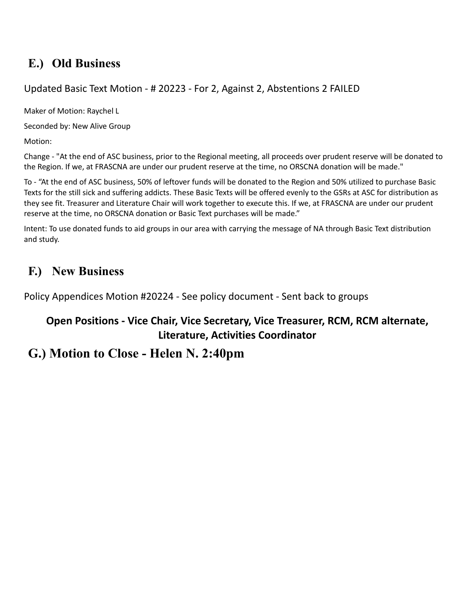# **E.) Old Business**

# Updated Basic Text Motion - # 20223 - For 2, Against 2, Abstentions 2 FAILED

Maker of Motion: Raychel L

Seconded by: New Alive Group

Motion:

Change - "At the end of ASC business, prior to the Regional meeting, all proceeds over prudent reserve will be donated to the Region. If we, at FRASCNA are under our prudent reserve at the time, no ORSCNA donation will be made."

To - "At the end of ASC business, 50% of leftover funds will be donated to the Region and 50% utilized to purchase Basic Texts for the still sick and suffering addicts. These Basic Texts will be offered evenly to the GSRs at ASC for distribution as they see fit. Treasurer and Literature Chair will work together to execute this. If we, at FRASCNA are under our prudent reserve at the time, no ORSCNA donation or Basic Text purchases will be made."

Intent: To use donated funds to aid groups in our area with carrying the message of NA through Basic Text distribution and study.

# **F.) New Business**

Policy Appendices Motion #20224 - See policy document - Sent back to groups

# **Open Positions - Vice Chair, Vice Secretary, Vice Treasurer, RCM, RCM alternate, Literature, Activities Coordinator**

# **G.) Motion to Close - Helen N. 2:40pm**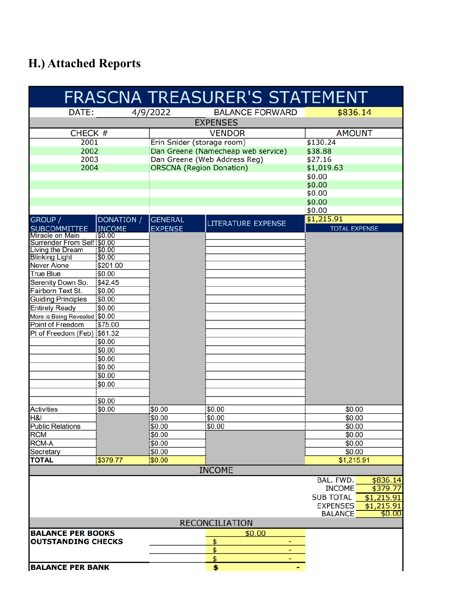# **H.) Attached Reports**

|                                                  |                   |                                    | FRASCNA TREASURER'S STATEMENT |                                |  |  |  |
|--------------------------------------------------|-------------------|------------------------------------|-------------------------------|--------------------------------|--|--|--|
| DATE:                                            |                   | 4/9/2022                           | <b>BALANCE FORWARD</b>        | \$836.14                       |  |  |  |
|                                                  |                   |                                    | <b>EXPENSES</b>               |                                |  |  |  |
| CHECK #<br><b>VENDOR</b>                         |                   | <b>AMOUNT</b>                      |                               |                                |  |  |  |
| 2001                                             |                   | Erin Snider (storage room)         |                               | \$130.24                       |  |  |  |
| 2002                                             |                   | Dan Greene (Namecheap web service) |                               | \$38.88                        |  |  |  |
| 2003                                             |                   | Dan Greene (Web Address Reg)       |                               | \$27.16                        |  |  |  |
| 2004                                             |                   | <b>ORSCNA</b> (Region Donation)    |                               | \$1,019.63                     |  |  |  |
|                                                  |                   |                                    |                               | \$0.00                         |  |  |  |
|                                                  |                   |                                    |                               | \$0.00                         |  |  |  |
|                                                  |                   |                                    |                               | \$0.00                         |  |  |  |
|                                                  |                   |                                    |                               | \$0.00                         |  |  |  |
|                                                  |                   |                                    |                               | \$0.00                         |  |  |  |
| GROUP /                                          | <b>DONATION /</b> | <b>GENERAL</b>                     | LITERATURE EXPENSE            | \$1,215.91                     |  |  |  |
| <b>SUBCOMMITTEE</b>                              | <b>INCOME</b>     | <b>EXPENSE</b>                     |                               | <b>TOTAL EXPENSE</b>           |  |  |  |
| <b>Miracle on Main</b>                           | \$0.00            |                                    |                               |                                |  |  |  |
| Surrender From Self \$0.00                       |                   |                                    |                               |                                |  |  |  |
| <b>Living the Dream</b><br><b>Blinking Light</b> | \$0.00<br>\$0.00  |                                    |                               |                                |  |  |  |
| <b>Never Alone</b>                               | \$201.00          |                                    |                               |                                |  |  |  |
| <b>True Blue</b>                                 | \$0.00            |                                    |                               |                                |  |  |  |
| Serenity Down So.                                | \$42.45           |                                    |                               |                                |  |  |  |
| Fairborn Text St.                                | \$0.00            |                                    |                               |                                |  |  |  |
| <b>Guiding Principles</b>                        | \$0.00            |                                    |                               |                                |  |  |  |
| <b>Entirely Ready</b>                            | \$0.00            |                                    |                               |                                |  |  |  |
| More is Being Revealed \$0.00                    |                   |                                    |                               |                                |  |  |  |
| <b>Point of Freedom</b>                          | \$75.00           |                                    |                               |                                |  |  |  |
| Pt of Freedom (Feb) \$61.32                      |                   |                                    |                               |                                |  |  |  |
|                                                  | \$0.00            |                                    |                               |                                |  |  |  |
|                                                  | \$0.00            |                                    |                               |                                |  |  |  |
|                                                  | \$0.00            |                                    |                               |                                |  |  |  |
|                                                  | \$0.00            |                                    |                               |                                |  |  |  |
|                                                  | \$0.00            |                                    |                               |                                |  |  |  |
|                                                  | \$0.00            |                                    |                               |                                |  |  |  |
|                                                  |                   |                                    |                               |                                |  |  |  |
|                                                  | \$0.00            |                                    |                               |                                |  |  |  |
| <b>Activities</b>                                | \$0.00            | \$0.00                             | \$0.00                        | \$0.00                         |  |  |  |
| <b>H&amp;I</b>                                   |                   | \$0.00                             | \$0.00                        | \$0.00                         |  |  |  |
| <b>Public Relations</b>                          |                   | \$0.00                             | 50.00                         | \$0.00                         |  |  |  |
| <b>RCM</b>                                       |                   | 50.00                              |                               | \$0.00                         |  |  |  |
| <b>RCM-A</b>                                     |                   | \$0.00                             |                               | \$0.00                         |  |  |  |
| Secretary                                        |                   | \$0.00                             |                               | \$0.00                         |  |  |  |
| <b>TOTAL</b>                                     | \$379.77          | \$0.00                             |                               | \$1,215.91                     |  |  |  |
|                                                  |                   |                                    | <b>INCOME</b>                 |                                |  |  |  |
|                                                  |                   |                                    |                               | BAL. FWD.<br>\$836.14          |  |  |  |
|                                                  |                   |                                    |                               | \$379.77<br><b>INCOME</b>      |  |  |  |
|                                                  |                   |                                    |                               | <b>SUB TOTAL</b><br>\$1,215.91 |  |  |  |
|                                                  |                   |                                    |                               | <b>EXPENSES</b><br>\$1,215.91  |  |  |  |
|                                                  |                   |                                    |                               | \$0.00<br><b>BALANCE</b>       |  |  |  |
| <b>RECONCILIATION</b>                            |                   |                                    |                               |                                |  |  |  |
| \$0.00<br><b>BALANCE PER BOOKS</b>               |                   |                                    |                               |                                |  |  |  |
| <b>OUTSTANDING CHECKS</b>                        |                   |                                    | \$                            |                                |  |  |  |
|                                                  |                   |                                    | \$                            |                                |  |  |  |
|                                                  |                   |                                    | \$<br>٠                       |                                |  |  |  |
| <b>BALANCE PER BANK</b>                          |                   |                                    | \$                            |                                |  |  |  |
|                                                  |                   |                                    |                               |                                |  |  |  |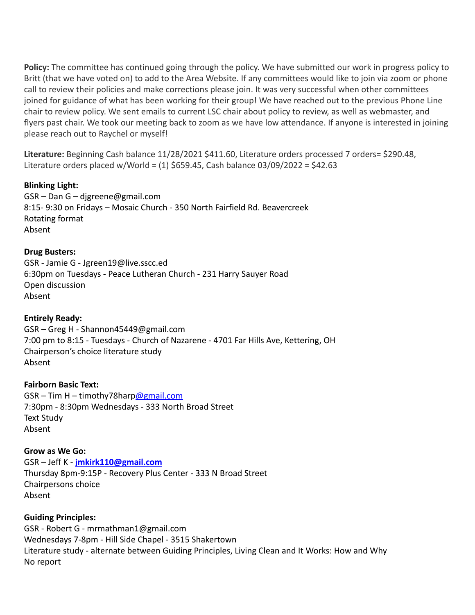**Policy:** The committee has continued going through the policy. We have submitted our work in progress policy to Britt (that we have voted on) to add to the Area Website. If any committees would like to join via zoom or phone call to review their policies and make corrections please join. It was very successful when other committees joined for guidance of what has been working for their group! We have reached out to the previous Phone Line chair to review policy. We sent emails to current LSC chair about policy to review, as well as webmaster, and flyers past chair. We took our meeting back to zoom as we have low attendance. If anyone is interested in joining please reach out to Raychel or myself!

**Literature:** Beginning Cash balance 11/28/2021 \$411.60, Literature orders processed 7 orders= \$290.48, Literature orders placed w/World =  $(1)$  \$659.45, Cash balance 03/09/2022 = \$42.63

### **Blinking Light:**

GSR – Dan G – djgreene@gmail.com 8:15- 9:30 on Fridays – Mosaic Church - 350 North Fairfield Rd. Beavercreek Rotating format Absent

### **Drug Busters:**

GSR - Jamie G - Jgreen19@live.sscc.ed 6:30pm on Tuesdays - Peace Lutheran Church - 231 Harry Sauyer Road Open discussion Absent

#### **Entirely Ready:**

GSR – Greg H - Shannon45449@gmail.com 7:00 pm to 8:15 - Tuesdays - Church of Nazarene - 4701 Far Hills Ave, Kettering, OH Chairperson's choice literature study Absent

#### **Fairborn Basic Text:**

 $GSR - Tim H - timothy78harp Qgmail.com$ 7:30pm - 8:30pm Wednesdays - 333 North Broad Street Text Study Absent

#### **Grow as We Go:**

GSR – Jeff K - **[jmkirk110@gmail.com](mailto:jmkirk110@gmail.com)** Thursday 8pm-9:15P - Recovery Plus Center - 333 N Broad Street Chairpersons choice Absent

## **Guiding Principles:**

GSR - Robert G - mrmathman1@gmail.com Wednesdays 7-8pm - Hill Side Chapel - 3515 Shakertown Literature study - alternate between Guiding Principles, Living Clean and It Works: How and Why No report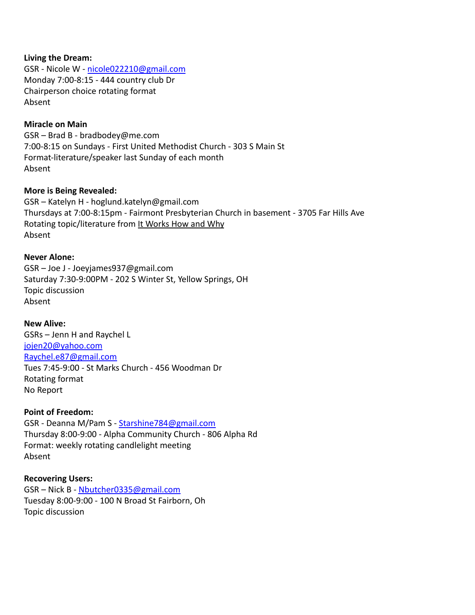#### **Living the Dream:**

GSR - Nicole W - [nicole022210@gmail.com](mailto:nicole022210@gmail.com) Monday 7:00-8:15 - 444 country club Dr Chairperson choice rotating format Absent

#### **Miracle on Main**

GSR – Brad B - bradbodey@me.com 7:00-8:15 on Sundays - First United Methodist Church - 303 S Main St Format-literature/speaker last Sunday of each month Absent

#### **More is Being Revealed:**

GSR – Katelyn H - hoglund.katelyn@gmail.com Thursdays at 7:00-8:15pm - Fairmont Presbyterian Church in basement - 3705 Far Hills Ave Rotating topic/literature from It Works How and Why Absent

#### **Never Alone:**

GSR – Joe J - Joeyjames937@gmail.com Saturday 7:30-9:00PM - 202 S Winter St, Yellow Springs, OH Topic discussion Absent

#### **New Alive:**

GSRs – Jenn H and Raychel L [jojen20@yahoo.com](mailto:jojen20@yahoo.com) Raychel.e87@gmail.com Tues 7:45-9:00 - St Marks Church - 456 Woodman Dr Rotating format No Report

#### **Point of Freedom:**

GSR - Deanna M/Pam S - [Starshine784@gmail.com](mailto:Starshine784@gmail.com) Thursday 8:00-9:00 - Alpha Community Church - 806 Alpha Rd Format: weekly rotating candlelight meeting Absent

#### **Recovering Users:**

GSR – Nick B - [Nbutcher0335@gmail.com](mailto:Nbutcher0335@gmail.com) Tuesday 8:00-9:00 - 100 N Broad St Fairborn, Oh Topic discussion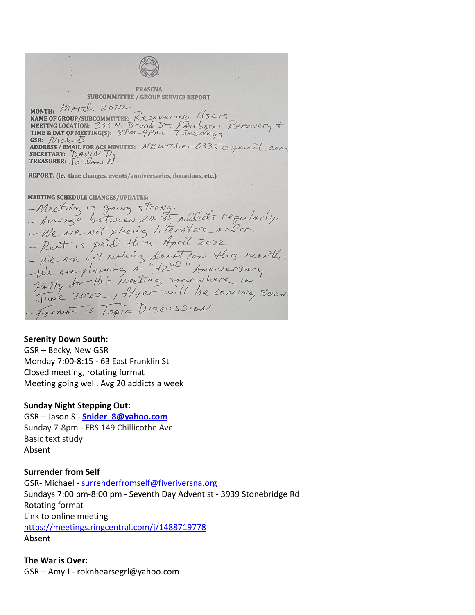**FRASCNA SUBCOMMITTEE / GROUP SERVICE REPORT** MONTH: MATCL 2022<br>
NAME OF GROUP/SUBCOMMITTEE: Recovering Users<br>
MEETING LOCATION: 333 N. Broad St. Fairborn Recovery +<br>
TIME & DAY OF MEETING(S): 8PM-9PM Tuesdays<br>
GSR: MILLED ASS MINUTES: NBUTCher0335 @ garail.com<br>
ADDRE MONTH: March 2022 REPORT: (ie. time changes, events/anniversaries, donations, etc.) MEETING SCHEDULE CHANGES/UPDATES:<br>- Avenue between 20-35 addicts requirely.<br>- We are not placing literature only.<br>- Rent is paid thru April 2022<br>- We are not noting donation this month.<br>- We are not noting donation this mo **MEETING SCHEDULE CHANGES/UPDATES:** Format is Topic Discussion.

#### **Serenity Down South:**

GSR – Becky, New GSR Monday 7:00-8:15 - 63 East Franklin St Closed meeting, rotating format Meeting going well. Avg 20 addicts a week

#### **Sunday Night Stepping Out:**

GSR – Jason S - **[Snider\\_8@yahoo.com](mailto:Snider_8@yahoo.com)** Sunday 7-8pm - FRS 149 Chillicothe Ave Basic text study Absent

#### **Surrender from Self**

GSR- Michael - [surrenderfromself@fiveriversna.org](mailto:surrenderfromself@fiveriversna.org) Sundays 7:00 pm-8:00 pm - Seventh Day Adventist - 3939 Stonebridge Rd Rotating format Link to online meeting <https://meetings.ringcentral.com/j/1488719778> Absent

**The War is Over:** GSR – Amy J - roknhearsegrl@yahoo.com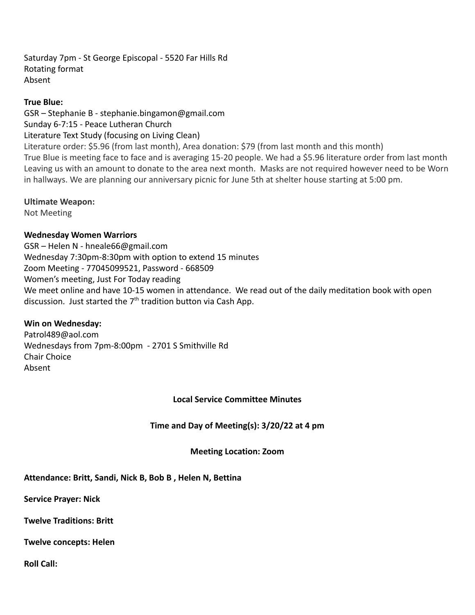Saturday 7pm - St George Episcopal - 5520 Far Hills Rd Rotating format Absent

### **True Blue:**

GSR – Stephanie B - stephanie.bingamon@gmail.com Sunday 6-7:15 - Peace Lutheran Church Literature Text Study (focusing on Living Clean) Literature order: \$5.96 (from last month), Area donation: \$79 (from last month and this month) True Blue is meeting face to face and is averaging 15-20 people. We had a \$5.96 literature order from last month Leaving us with an amount to donate to the area next month. Masks are not required however need to be Worn in hallways. We are planning our anniversary picnic for June 5th at shelter house starting at 5:00 pm.

### **Ultimate Weapon:**

Not Meeting

## **Wednesday Women Warriors**

GSR – Helen N - hneale66@gmail.com Wednesday 7:30pm-8:30pm with option to extend 15 minutes Zoom Meeting - 77045099521, Password - 668509 Women's meeting, Just For Today reading We meet online and have 10-15 women in attendance. We read out of the daily meditation book with open discussion. Just started the 7<sup>th</sup> tradition button via Cash App.

## **Win on Wednesday:**

Patrol489@aol.com Wednesdays from 7pm-8:00pm - 2701 S Smithville Rd Chair Choice Absent

## **Local Service Committee Minutes**

**Time and Day of Meeting(s): 3/20/22 at 4 pm**

## **Meeting Location: Zoom**

**Attendance: Britt, Sandi, Nick B, Bob B , Helen N, Bettina**

**Service Prayer: Nick**

**Twelve Traditions: Britt**

**Twelve concepts: Helen**

**Roll Call:**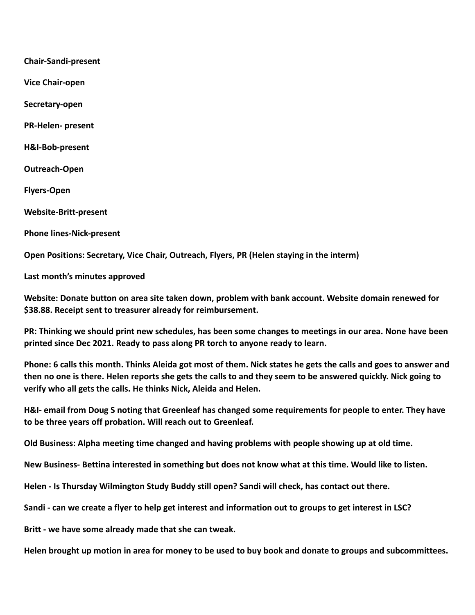**Chair-Sandi-present**

**Vice Chair-open**

**Secretary-open**

**PR-Helen- present**

**H&I-Bob-present**

**Outreach-Open**

**Flyers-Open**

**Website-Britt-present**

**Phone lines-Nick-present**

**Open Positions: Secretary, Vice Chair, Outreach, Flyers, PR (Helen staying in the interm)**

**Last month's minutes approved**

**Website: Donate button on area site taken down, problem with bank account. Website domain renewed for \$38.88. Receipt sent to treasurer already for reimbursement.**

**PR: Thinking we should print new schedules, has been some changes to meetings in our area. None have been printed since Dec 2021. Ready to pass along PR torch to anyone ready to learn.**

**Phone: 6 calls this month. Thinks Aleida got most of them. Nick states he gets the calls and goes to answer and then no one is there. Helen reports she gets the calls to and they seem to be answered quickly. Nick going to verify who all gets the calls. He thinks Nick, Aleida and Helen.**

**H&I- email from Doug S noting that Greenleaf has changed some requirements for people to enter. They have to be three years off probation. Will reach out to Greenleaf.**

**Old Business: Alpha meeting time changed and having problems with people showing up at old time.**

**New Business- Bettina interested in something but does not know what at this time. Would like to listen.**

**Helen - Is Thursday Wilmington Study Buddy still open? Sandi will check, has contact out there.**

**Sandi - can we create a flyer to help get interest and information out to groups to get interest in LSC?**

**Britt - we have some already made that she can tweak.**

**Helen brought up motion in area for money to be used to buy book and donate to groups and subcommittees.**